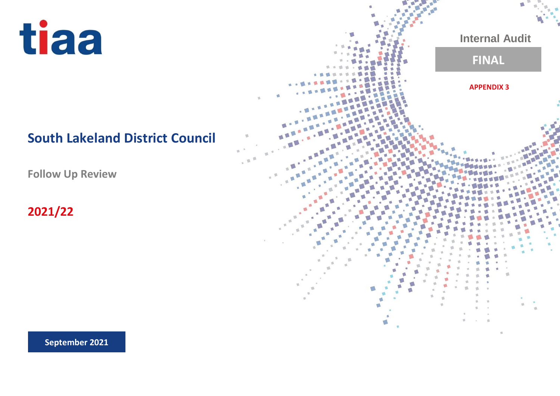tiaa

## **South Lakeland District Council**

**Follow Up Review**

**2021/22**

**Internal Audit FINALAPPENDIX 3** d

**September 2021**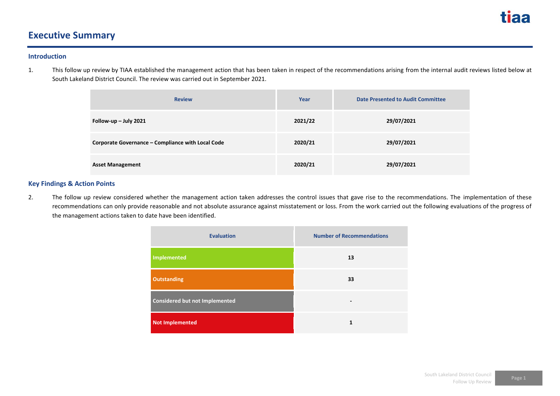

### **Executive Summary**

#### **Introduction**

1. This follow up review by TIAA established the management action that has been taken in respect of the recommendations arising from the internal audit reviews listed below at South Lakeland District Council. The review was carried out in September 2021.

| <b>Review</b>                                     | Year    | <b>Date Presented to Audit Committee</b> |
|---------------------------------------------------|---------|------------------------------------------|
| Follow-up $-$ July 2021                           | 2021/22 | 29/07/2021                               |
| Corporate Governance - Compliance with Local Code | 2020/21 | 29/07/2021                               |
| <b>Asset Management</b>                           | 2020/21 | 29/07/2021                               |

### **Key Findings & Action Points**

2. The follow up review considered whether the management action taken addresses the control issues that gave rise to the recommendations. The implementation of these recommendations can only provide reasonable and not absolute assurance against misstatement or loss. From the work carried out the following evaluations of the progress of the management actions taken to date have been identified.

| <b>Evaluation</b>                     | <b>Number of Recommendations</b> |
|---------------------------------------|----------------------------------|
| Implemented                           | 13                               |
| <b>Outstanding</b>                    | 33                               |
| <b>Considered but not Implemented</b> |                                  |
| <b>Not Implemented</b>                | 1                                |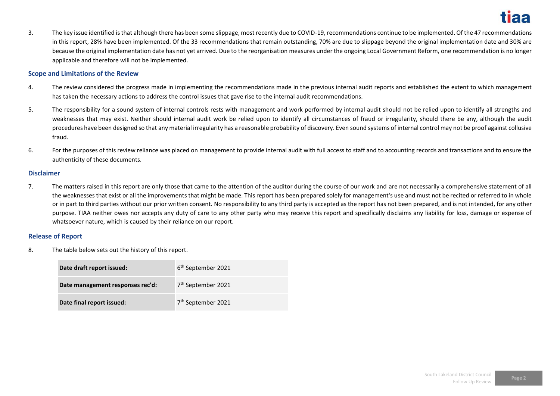3. The key issue identified is that although there has been some slippage, most recently due to COVID-19, recommendations continue to be implemented. Of the 47 recommendations in this report, 28% have been implemented. Of the 33 recommendations that remain outstanding, 70% are due to slippage beyond the original implementation date and 30% are because the original implementation date has not yet arrived. Due to the reorganisation measures under the ongoing Local Government Reform, one recommendation is no longer applicable and therefore will not be implemented.

### **Scope and Limitations of the Review**

- 4. The review considered the progress made in implementing the recommendations made in the previous internal audit reports and established the extent to which management has taken the necessary actions to address the control issues that gave rise to the internal audit recommendations.
- 5. The responsibility for a sound system of internal controls rests with management and work performed by internal audit should not be relied upon to identify all strengths and weaknesses that may exist. Neither should internal audit work be relied upon to identify all circumstances of fraud or irregularity, should there be any, although the audit procedures have been designed so that any material irregularity has a reasonable probability of discovery. Even sound systems of internal control may not be proof against collusive fraud.
- 6. For the purposes of this review reliance was placed on management to provide internal audit with full access to staff and to accounting records and transactions and to ensure the authenticity of these documents.

### **Disclaimer**

7. The matters raised in this report are only those that came to the attention of the auditor during the course of our work and are not necessarily a comprehensive statement of all the weaknesses that exist or all the improvements that might be made. This report has been prepared solely for management's use and must not be recited or referred to in whole or in part to third parties without our prior written consent. No responsibility to any third party is accepted as the report has not been prepared, and is not intended, for any other purpose. TIAA neither owes nor accepts any duty of care to any other party who may receive this report and specifically disclaims any liability for loss, damage or expense of whatsoever nature, which is caused by their reliance on our report.

### **Release of Report**

8. The table below sets out the history of this report.

| Date draft report issued:        | 6 <sup>th</sup> September 2021 |
|----------------------------------|--------------------------------|
| Date management responses rec'd: | 7 <sup>th</sup> September 2021 |
| Date final report issued:        | 7 <sup>th</sup> September 2021 |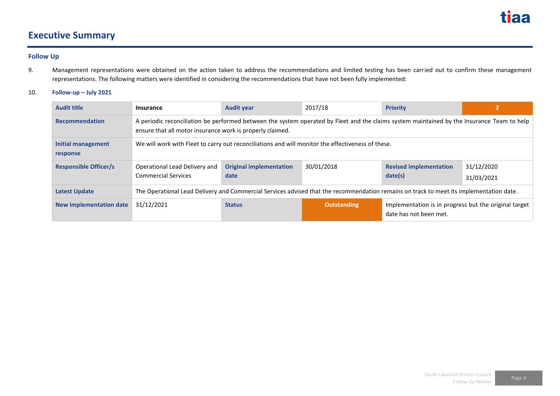

### **Executive Summary**

### **Follow Up**

- 9. Management representations were obtained on the action taken to address the recommendations and limited testing has been carried out to confirm these management representations. The following matters were identified in considering the recommendations that have not been fully implemented:
- 10. **Follow-up – July 2021**

| <b>Audit title</b>             | <b>Insurance</b>                                                                                                                                                                                        | <b>Audit year</b>                      | 2017/18            | <b>Priority</b>                                                                 |                          |
|--------------------------------|---------------------------------------------------------------------------------------------------------------------------------------------------------------------------------------------------------|----------------------------------------|--------------------|---------------------------------------------------------------------------------|--------------------------|
| <b>Recommendation</b>          | A periodic reconciliation be performed between the system operated by Fleet and the claims system maintained by the Insurance Team to help<br>ensure that all motor insurance work is properly claimed. |                                        |                    |                                                                                 |                          |
| Initial management<br>response | We will work with Fleet to carry out reconciliations and will monitor the effectiveness of these.                                                                                                       |                                        |                    |                                                                                 |                          |
| <b>Responsible Officer/s</b>   | Operational Lead Delivery and<br><b>Commercial Services</b>                                                                                                                                             | <b>Original implementation</b><br>date | 30/01/2018         | <b>Revised implementation</b><br>date(s)                                        | 31/12/2020<br>31/03/2021 |
| <b>Latest Update</b>           | The Operational Lead Delivery and Commercial Services advised that the recommendation remains on track to meet its implementation date.                                                                 |                                        |                    |                                                                                 |                          |
| New implementation date        | 31/12/2021                                                                                                                                                                                              | <b>Status</b>                          | <b>Outstanding</b> | Implementation is in progress but the original target<br>date has not been met. |                          |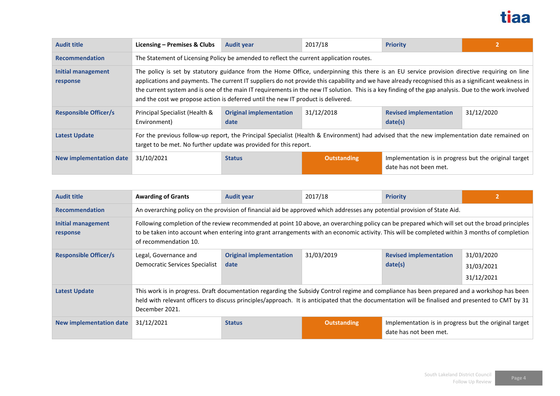

| <b>Audit title</b>                    | Licensing – Premises & Clubs                                                                                                                                                                                                                                                                                                                                                                                                                                                                                                                      | <b>Audit year</b>                      | 2017/18            | <b>Priority</b>                                                                 |            |
|---------------------------------------|---------------------------------------------------------------------------------------------------------------------------------------------------------------------------------------------------------------------------------------------------------------------------------------------------------------------------------------------------------------------------------------------------------------------------------------------------------------------------------------------------------------------------------------------------|----------------------------------------|--------------------|---------------------------------------------------------------------------------|------------|
| <b>Recommendation</b>                 | The Statement of Licensing Policy be amended to reflect the current application routes.                                                                                                                                                                                                                                                                                                                                                                                                                                                           |                                        |                    |                                                                                 |            |
| <b>Initial management</b><br>response | The policy is set by statutory guidance from the Home Office, underpinning this there is an EU service provision directive requiring on line<br>applications and payments. The current IT suppliers do not provide this capability and we have already recognised this as a significant weakness in<br>the current system and is one of the main IT requirements in the new IT solution. This is a key finding of the gap analysis. Due to the work involved<br>and the cost we propose action is deferred until the new IT product is delivered. |                                        |                    |                                                                                 |            |
| <b>Responsible Officer/s</b>          | Principal Specialist (Health &<br>Environment)                                                                                                                                                                                                                                                                                                                                                                                                                                                                                                    | <b>Original implementation</b><br>date | 31/12/2018         | <b>Revised implementation</b><br>date(s)                                        | 31/12/2020 |
| <b>Latest Update</b>                  | For the previous follow-up report, the Principal Specialist (Health & Environment) had advised that the new implementation date remained on<br>target to be met. No further update was provided for this report.                                                                                                                                                                                                                                                                                                                                  |                                        |                    |                                                                                 |            |
| <b>New implementation date</b>        | 31/10/2021                                                                                                                                                                                                                                                                                                                                                                                                                                                                                                                                        | <b>Status</b>                          | <b>Outstanding</b> | Implementation is in progress but the original target<br>date has not been met. |            |

| <b>Audit title</b>             | <b>Awarding of Grants</b>                                                                                                                                                                                                                                                                                                  | <b>Audit year</b>                      | 2017/18            | <b>Priority</b>                                                                 |                                        |
|--------------------------------|----------------------------------------------------------------------------------------------------------------------------------------------------------------------------------------------------------------------------------------------------------------------------------------------------------------------------|----------------------------------------|--------------------|---------------------------------------------------------------------------------|----------------------------------------|
| <b>Recommendation</b>          | An overarching policy on the provision of financial aid be approved which addresses any potential provision of State Aid.                                                                                                                                                                                                  |                                        |                    |                                                                                 |                                        |
| Initial management<br>response | Following completion of the review recommended at point 10 above, an overarching policy can be prepared which will set out the broad principles<br>to be taken into account when entering into grant arrangements with an economic activity. This will be completed within 3 months of completion<br>of recommendation 10. |                                        |                    |                                                                                 |                                        |
| <b>Responsible Officer/s</b>   | Legal, Governance and<br>Democratic Services Specialist                                                                                                                                                                                                                                                                    | <b>Original implementation</b><br>date | 31/03/2019         | <b>Revised implementation</b><br>date(s)                                        | 31/03/2020<br>31/03/2021<br>31/12/2021 |
| <b>Latest Update</b>           | This work is in progress. Draft documentation regarding the Subsidy Control regime and compliance has been prepared and a workshop has been<br>held with relevant officers to discuss principles/approach. It is anticipated that the documentation will be finalised and presented to CMT by 31<br>December 2021.         |                                        |                    |                                                                                 |                                        |
| <b>New implementation date</b> | 31/12/2021                                                                                                                                                                                                                                                                                                                 | <b>Status</b>                          | <b>Outstanding</b> | Implementation is in progress but the original target<br>date has not been met. |                                        |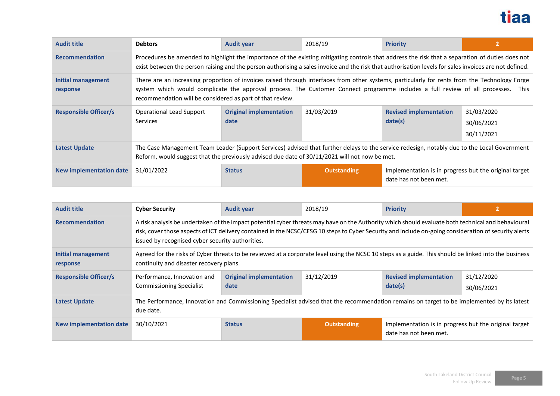

| <b>Audit title</b>             | <b>Debtors</b>                                                                                                                                                                                                                                                                                                                                    | <b>Audit year</b>                                                                                                                                                                                                                                                                                          | 2018/19            | <b>Priority</b>                                                                 |                                        |  |  |
|--------------------------------|---------------------------------------------------------------------------------------------------------------------------------------------------------------------------------------------------------------------------------------------------------------------------------------------------------------------------------------------------|------------------------------------------------------------------------------------------------------------------------------------------------------------------------------------------------------------------------------------------------------------------------------------------------------------|--------------------|---------------------------------------------------------------------------------|----------------------------------------|--|--|
| <b>Recommendation</b>          |                                                                                                                                                                                                                                                                                                                                                   | Procedures be amended to highlight the importance of the existing mitigating controls that address the risk that a separation of duties does not<br>exist between the person raising and the person authorising a sales invoice and the risk that authorisation levels for sales invoices are not defined. |                    |                                                                                 |                                        |  |  |
| Initial management<br>response | There are an increasing proportion of invoices raised through interfaces from other systems, particularly for rents from the Technology Forge<br>system which would complicate the approval process. The Customer Connect programme includes a full review of all processes.<br>This<br>recommendation will be considered as part of that review. |                                                                                                                                                                                                                                                                                                            |                    |                                                                                 |                                        |  |  |
| <b>Responsible Officer/s</b>   | <b>Operational Lead Support</b><br>Services                                                                                                                                                                                                                                                                                                       | <b>Original implementation</b><br>date                                                                                                                                                                                                                                                                     | 31/03/2019         | <b>Revised implementation</b><br>date(s)                                        | 31/03/2020<br>30/06/2021<br>30/11/2021 |  |  |
| <b>Latest Update</b>           | The Case Management Team Leader (Support Services) advised that further delays to the service redesign, notably due to the Local Government<br>Reform, would suggest that the previously advised due date of 30/11/2021 will not now be met.                                                                                                      |                                                                                                                                                                                                                                                                                                            |                    |                                                                                 |                                        |  |  |
| New implementation date        | 31/01/2022                                                                                                                                                                                                                                                                                                                                        | <b>Status</b>                                                                                                                                                                                                                                                                                              | <b>Outstanding</b> | Implementation is in progress but the original target<br>date has not been met. |                                        |  |  |

| <b>Audit title</b>                    | <b>Cyber Security</b>                                                                                                                                                                                                                                                                                                                                           | <b>Audit year</b>                      | 2018/19            | <b>Priority</b>                                                                 |                          |
|---------------------------------------|-----------------------------------------------------------------------------------------------------------------------------------------------------------------------------------------------------------------------------------------------------------------------------------------------------------------------------------------------------------------|----------------------------------------|--------------------|---------------------------------------------------------------------------------|--------------------------|
| <b>Recommendation</b>                 | A risk analysis be undertaken of the impact potential cyber threats may have on the Authority which should evaluate both technical and behavioural<br>risk, cover those aspects of ICT delivery contained in the NCSC/CESG 10 steps to Cyber Security and include on-going consideration of security alerts<br>issued by recognised cyber security authorities. |                                        |                    |                                                                                 |                          |
| <b>Initial management</b><br>response | Agreed for the risks of Cyber threats to be reviewed at a corporate level using the NCSC 10 steps as a guide. This should be linked into the business<br>continuity and disaster recovery plans.                                                                                                                                                                |                                        |                    |                                                                                 |                          |
| <b>Responsible Officer/s</b>          | Performance, Innovation and<br><b>Commissioning Specialist</b>                                                                                                                                                                                                                                                                                                  | <b>Original implementation</b><br>date | 31/12/2019         | <b>Revised implementation</b><br>date(s)                                        | 31/12/2020<br>30/06/2021 |
| <b>Latest Update</b>                  | The Performance, Innovation and Commissioning Specialist advised that the recommendation remains on target to be implemented by its latest<br>due date.                                                                                                                                                                                                         |                                        |                    |                                                                                 |                          |
| <b>New implementation date</b>        | 30/10/2021                                                                                                                                                                                                                                                                                                                                                      | <b>Status</b>                          | <b>Outstanding</b> | Implementation is in progress but the original target<br>date has not been met. |                          |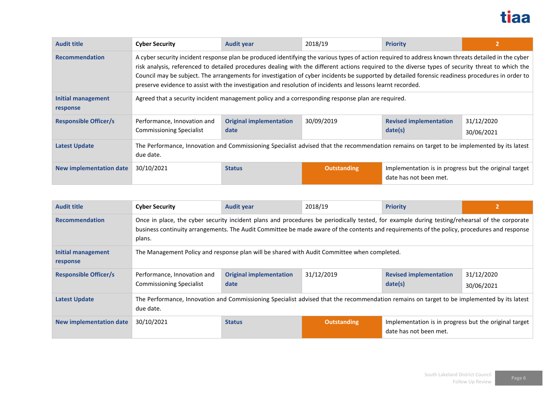

| <b>Audit title</b>             | <b>Cyber Security</b>                                                                                                                                                                                                                                                                                                                                                                                                                                                                                                                                                       | <b>Audit year</b>                      | 2018/19            | <b>Priority</b>                                                                 |                          |
|--------------------------------|-----------------------------------------------------------------------------------------------------------------------------------------------------------------------------------------------------------------------------------------------------------------------------------------------------------------------------------------------------------------------------------------------------------------------------------------------------------------------------------------------------------------------------------------------------------------------------|----------------------------------------|--------------------|---------------------------------------------------------------------------------|--------------------------|
| <b>Recommendation</b>          | A cyber security incident response plan be produced identifying the various types of action required to address known threats detailed in the cyber<br>risk analysis, referenced to detailed procedures dealing with the different actions required to the diverse types of security threat to which the<br>Council may be subject. The arrangements for investigation of cyber incidents be supported by detailed forensic readiness procedures in order to<br>preserve evidence to assist with the investigation and resolution of incidents and lessons learnt recorded. |                                        |                    |                                                                                 |                          |
| Initial management<br>response | Agreed that a security incident management policy and a corresponding response plan are required.                                                                                                                                                                                                                                                                                                                                                                                                                                                                           |                                        |                    |                                                                                 |                          |
| <b>Responsible Officer/s</b>   | Performance, Innovation and<br><b>Commissioning Specialist</b>                                                                                                                                                                                                                                                                                                                                                                                                                                                                                                              | <b>Original implementation</b><br>date | 30/09/2019         | <b>Revised implementation</b><br>date(s)                                        | 31/12/2020<br>30/06/2021 |
| <b>Latest Update</b>           | The Performance, Innovation and Commissioning Specialist advised that the recommendation remains on target to be implemented by its latest<br>due date.                                                                                                                                                                                                                                                                                                                                                                                                                     |                                        |                    |                                                                                 |                          |
| New implementation date        | 30/10/2021                                                                                                                                                                                                                                                                                                                                                                                                                                                                                                                                                                  | <b>Status</b>                          | <b>Outstanding</b> | Implementation is in progress but the original target<br>date has not been met. |                          |

| <b>Audit title</b>             | <b>Cyber Security</b>                                                                                                                                                                                                                                                                                  | <b>Audit year</b>                      | 2018/19            | <b>Priority</b>                                                                 |                          |  |
|--------------------------------|--------------------------------------------------------------------------------------------------------------------------------------------------------------------------------------------------------------------------------------------------------------------------------------------------------|----------------------------------------|--------------------|---------------------------------------------------------------------------------|--------------------------|--|
| <b>Recommendation</b>          | Once in place, the cyber security incident plans and procedures be periodically tested, for example during testing/rehearsal of the corporate<br>business continuity arrangements. The Audit Committee be made aware of the contents and requirements of the policy, procedures and response<br>plans. |                                        |                    |                                                                                 |                          |  |
| Initial management<br>response | The Management Policy and response plan will be shared with Audit Committee when completed.                                                                                                                                                                                                            |                                        |                    |                                                                                 |                          |  |
| <b>Responsible Officer/s</b>   | Performance, Innovation and<br><b>Commissioning Specialist</b>                                                                                                                                                                                                                                         | <b>Original implementation</b><br>date | 31/12/2019         | <b>Revised implementation</b><br>date(s)                                        | 31/12/2020<br>30/06/2021 |  |
| <b>Latest Update</b>           | The Performance, Innovation and Commissioning Specialist advised that the recommendation remains on target to be implemented by its latest<br>due date.                                                                                                                                                |                                        |                    |                                                                                 |                          |  |
| New implementation date        | 30/10/2021                                                                                                                                                                                                                                                                                             | <b>Status</b>                          | <b>Outstanding</b> | Implementation is in progress but the original target<br>date has not been met. |                          |  |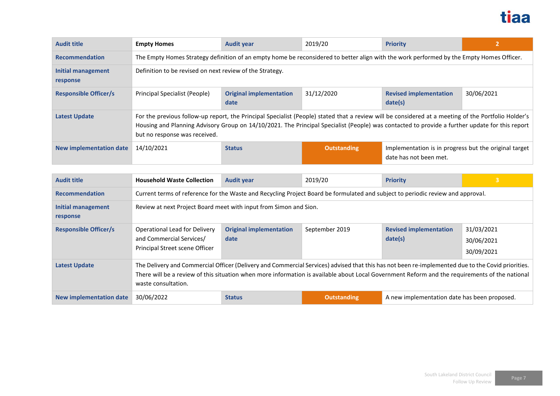

| <b>Audit title</b>                    | <b>Empty Homes</b>                                                                                                                                                                                                                                                                                                                     | <b>Audit year</b>                      | 2019/20            | <b>Priority</b>                                                                 | 2          |
|---------------------------------------|----------------------------------------------------------------------------------------------------------------------------------------------------------------------------------------------------------------------------------------------------------------------------------------------------------------------------------------|----------------------------------------|--------------------|---------------------------------------------------------------------------------|------------|
| <b>Recommendation</b>                 | The Empty Homes Strategy definition of an empty home be reconsidered to better align with the work performed by the Empty Homes Officer.                                                                                                                                                                                               |                                        |                    |                                                                                 |            |
| <b>Initial management</b><br>response | Definition to be revised on next review of the Strategy.                                                                                                                                                                                                                                                                               |                                        |                    |                                                                                 |            |
| <b>Responsible Officer/s</b>          | Principal Specialist (People)                                                                                                                                                                                                                                                                                                          | <b>Original implementation</b><br>date | 31/12/2020         | <b>Revised implementation</b><br>date(s)                                        | 30/06/2021 |
| <b>Latest Update</b>                  | For the previous follow-up report, the Principal Specialist (People) stated that a review will be considered at a meeting of the Portfolio Holder's<br>Housing and Planning Advisory Group on 14/10/2021. The Principal Specialist (People) was contacted to provide a further update for this report<br>but no response was received. |                                        |                    |                                                                                 |            |
| <b>New implementation date</b>        | 14/10/2021                                                                                                                                                                                                                                                                                                                             | <b>Status</b>                          | <b>Outstanding</b> | Implementation is in progress but the original target<br>date has not been met. |            |

| <b>Audit title</b>             | <b>Household Waste Collection</b>                                                                                                                                                                                                                                                                                          | <b>Audit year</b>                      | 2019/20            | <b>Priority</b>                              |                                        |
|--------------------------------|----------------------------------------------------------------------------------------------------------------------------------------------------------------------------------------------------------------------------------------------------------------------------------------------------------------------------|----------------------------------------|--------------------|----------------------------------------------|----------------------------------------|
| <b>Recommendation</b>          | Current terms of reference for the Waste and Recycling Project Board be formulated and subject to periodic review and approval.                                                                                                                                                                                            |                                        |                    |                                              |                                        |
| Initial management<br>response | Review at next Project Board meet with input from Simon and Sion.                                                                                                                                                                                                                                                          |                                        |                    |                                              |                                        |
| <b>Responsible Officer/s</b>   | <b>Operational Lead for Delivery</b><br>and Commercial Services/<br>Principal Street scene Officer                                                                                                                                                                                                                         | <b>Original implementation</b><br>date | September 2019     | <b>Revised implementation</b><br>date(s)     | 31/03/2021<br>30/06/2021<br>30/09/2021 |
| <b>Latest Update</b>           | The Delivery and Commercial Officer (Delivery and Commercial Services) advised that this has not been re-implemented due to the Covid priorities.<br>There will be a review of this situation when more information is available about Local Government Reform and the requirements of the national<br>waste consultation. |                                        |                    |                                              |                                        |
| New implementation date        | 30/06/2022                                                                                                                                                                                                                                                                                                                 | <b>Status</b>                          | <b>Outstanding</b> | A new implementation date has been proposed. |                                        |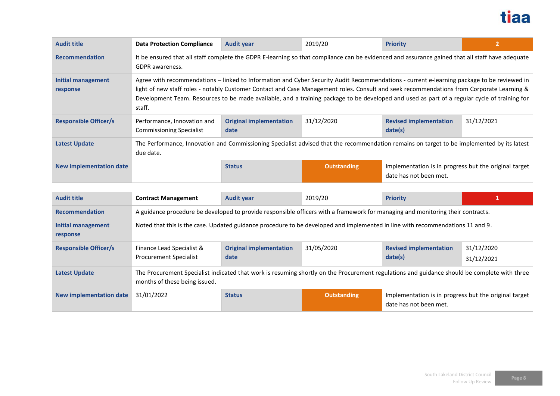

| <b>Audit title</b>             | <b>Data Protection Compliance</b>                              | <b>Audit year</b>                                                                                                                                                                                                                                                                                                                                                                                                                       | 2019/20            | <b>Priority</b>                                                                 |            |  |  |
|--------------------------------|----------------------------------------------------------------|-----------------------------------------------------------------------------------------------------------------------------------------------------------------------------------------------------------------------------------------------------------------------------------------------------------------------------------------------------------------------------------------------------------------------------------------|--------------------|---------------------------------------------------------------------------------|------------|--|--|
| <b>Recommendation</b>          | <b>GDPR</b> awareness.                                         | It be ensured that all staff complete the GDPR E-learning so that compliance can be evidenced and assurance gained that all staff have adequate                                                                                                                                                                                                                                                                                         |                    |                                                                                 |            |  |  |
| Initial management<br>response | staff.                                                         | Agree with recommendations - linked to Information and Cyber Security Audit Recommendations - current e-learning package to be reviewed in<br>light of new staff roles - notably Customer Contact and Case Management roles. Consult and seek recommendations from Corporate Learning &<br>Development Team. Resources to be made available, and a training package to be developed and used as part of a regular cycle of training for |                    |                                                                                 |            |  |  |
| <b>Responsible Officer/s</b>   | Performance, Innovation and<br><b>Commissioning Specialist</b> | <b>Original implementation</b><br>date                                                                                                                                                                                                                                                                                                                                                                                                  | 31/12/2020         | <b>Revised implementation</b><br>date(s)                                        | 31/12/2021 |  |  |
| <b>Latest Update</b>           | due date.                                                      | The Performance, Innovation and Commissioning Specialist advised that the recommendation remains on target to be implemented by its latest                                                                                                                                                                                                                                                                                              |                    |                                                                                 |            |  |  |
| <b>New implementation date</b> |                                                                | <b>Status</b>                                                                                                                                                                                                                                                                                                                                                                                                                           | <b>Outstanding</b> | Implementation is in progress but the original target<br>date has not been met. |            |  |  |

| <b>Audit title</b>             | <b>Contract Management</b>                                                                                                      | <b>Audit year</b>                                                                                                                            | 2019/20            | <b>Priority</b>                                                                 |                          |  |  |
|--------------------------------|---------------------------------------------------------------------------------------------------------------------------------|----------------------------------------------------------------------------------------------------------------------------------------------|--------------------|---------------------------------------------------------------------------------|--------------------------|--|--|
| <b>Recommendation</b>          | A guidance procedure be developed to provide responsible officers with a framework for managing and monitoring their contracts. |                                                                                                                                              |                    |                                                                                 |                          |  |  |
| Initial management<br>response | Noted that this is the case. Updated guidance procedure to be developed and implemented in line with recommendations 11 and 9.  |                                                                                                                                              |                    |                                                                                 |                          |  |  |
| <b>Responsible Officer/s</b>   | Finance Lead Specialist &<br><b>Procurement Specialist</b>                                                                      | <b>Original implementation</b><br>date                                                                                                       | 31/05/2020         | <b>Revised implementation</b><br>date(s)                                        | 31/12/2020<br>31/12/2021 |  |  |
| <b>Latest Update</b>           | months of these being issued.                                                                                                   | The Procurement Specialist indicated that work is resuming shortly on the Procurement regulations and guidance should be complete with three |                    |                                                                                 |                          |  |  |
| New implementation date        | 31/01/2022                                                                                                                      | <b>Status</b>                                                                                                                                | <b>Outstanding</b> | Implementation is in progress but the original target<br>date has not been met. |                          |  |  |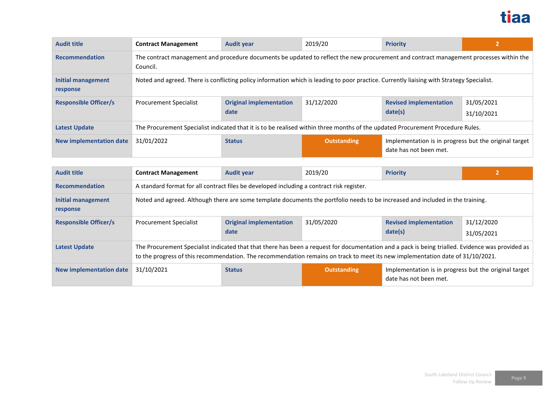

| <b>Audit title</b>             | <b>Contract Management</b>                                                                                                                         | <b>Audit year</b>                      | 2019/20            | <b>Priority</b>                                                                 |                          |  |
|--------------------------------|----------------------------------------------------------------------------------------------------------------------------------------------------|----------------------------------------|--------------------|---------------------------------------------------------------------------------|--------------------------|--|
| <b>Recommendation</b>          | The contract management and procedure documents be updated to reflect the new procurement and contract management processes within the<br>Council. |                                        |                    |                                                                                 |                          |  |
| Initial management<br>response | Noted and agreed. There is conflicting policy information which is leading to poor practice. Currently liaising with Strategy Specialist.          |                                        |                    |                                                                                 |                          |  |
| <b>Responsible Officer/s</b>   | <b>Procurement Specialist</b>                                                                                                                      | <b>Original implementation</b><br>date | 31/12/2020         | <b>Revised implementation</b><br>date(s)                                        | 31/05/2021<br>31/10/2021 |  |
| <b>Latest Update</b>           | The Procurement Specialist indicated that it is to be realised within three months of the updated Procurement Procedure Rules.                     |                                        |                    |                                                                                 |                          |  |
| <b>New implementation date</b> | 31/01/2022                                                                                                                                         | <b>Status</b>                          | <b>Outstanding</b> | Implementation is in progress but the original target<br>date has not been met. |                          |  |

| <b>Audit title</b>                    | <b>Contract Management</b>                                                                                                     | <b>Audit year</b>                                                                                                                                                                                                                                                                  | 2019/20            | <b>Priority</b>                                                                 |                          |  |  |
|---------------------------------------|--------------------------------------------------------------------------------------------------------------------------------|------------------------------------------------------------------------------------------------------------------------------------------------------------------------------------------------------------------------------------------------------------------------------------|--------------------|---------------------------------------------------------------------------------|--------------------------|--|--|
| <b>Recommendation</b>                 | A standard format for all contract files be developed including a contract risk register.                                      |                                                                                                                                                                                                                                                                                    |                    |                                                                                 |                          |  |  |
| <b>Initial management</b><br>response | Noted and agreed. Although there are some template documents the portfolio needs to be increased and included in the training. |                                                                                                                                                                                                                                                                                    |                    |                                                                                 |                          |  |  |
| <b>Responsible Officer/s</b>          | <b>Procurement Specialist</b>                                                                                                  | <b>Original implementation</b><br>date                                                                                                                                                                                                                                             | 31/05/2020         | <b>Revised implementation</b><br>date(s)                                        | 31/12/2020<br>31/05/2021 |  |  |
| <b>Latest Update</b>                  |                                                                                                                                | The Procurement Specialist indicated that that there has been a request for documentation and a pack is being trialled. Evidence was provided as<br>to the progress of this recommendation. The recommendation remains on track to meet its new implementation date of 31/10/2021. |                    |                                                                                 |                          |  |  |
| <b>New implementation date</b>        | 31/10/2021                                                                                                                     | <b>Status</b>                                                                                                                                                                                                                                                                      | <b>Outstanding</b> | Implementation is in progress but the original target<br>date has not been met. |                          |  |  |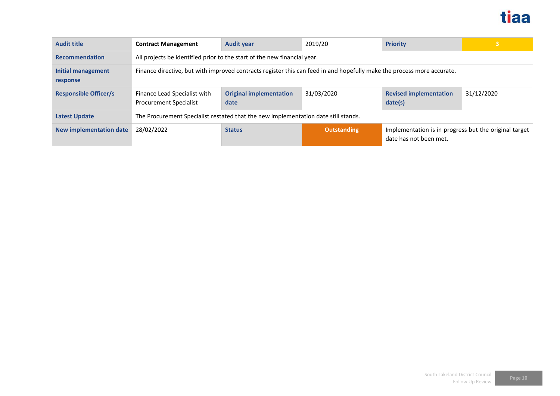

| <b>Audit title</b>             | <b>Contract Management</b>                                                                                             | <b>Audit year</b>                                                                  | 2019/20            | <b>Priority</b>                                                                 | $\overline{3}$ |  |
|--------------------------------|------------------------------------------------------------------------------------------------------------------------|------------------------------------------------------------------------------------|--------------------|---------------------------------------------------------------------------------|----------------|--|
| <b>Recommendation</b>          | All projects be identified prior to the start of the new financial year.                                               |                                                                                    |                    |                                                                                 |                |  |
| Initial management<br>response | Finance directive, but with improved contracts register this can feed in and hopefully make the process more accurate. |                                                                                    |                    |                                                                                 |                |  |
| <b>Responsible Officer/s</b>   | Finance Lead Specialist with<br><b>Procurement Specialist</b>                                                          | <b>Original implementation</b><br>date                                             | 31/03/2020         | <b>Revised implementation</b><br>date(s)                                        | 31/12/2020     |  |
| <b>Latest Update</b>           |                                                                                                                        | The Procurement Specialist restated that the new implementation date still stands. |                    |                                                                                 |                |  |
| <b>New implementation date</b> | 28/02/2022                                                                                                             | <b>Status</b>                                                                      | <b>Outstanding</b> | Implementation is in progress but the original target<br>date has not been met. |                |  |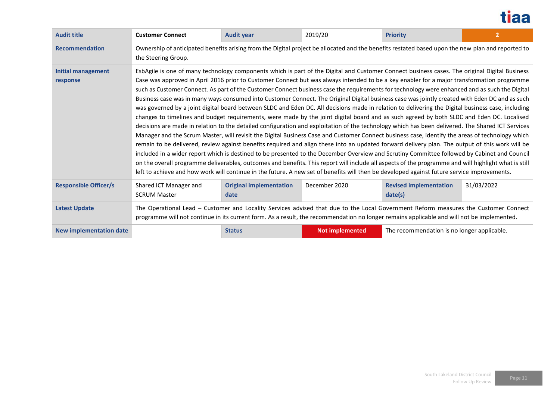

| <b>Audit title</b>             | <b>Customer Connect</b>                                                                                                                                                  | <b>Audit year</b>                                                                                                                                                                                                                                                                                                                                                                                                                                                                                                                                                                                                                                                                                                                                                                                                                                                                                                                                                                                                                                                                                                                                                                                                                                                                                                                                                                                                                                                                                                                                                                                                                                                                                                                                                                                                  | 2019/20         | <b>Priority</b>                             | $\overline{2}$ |  |  |
|--------------------------------|--------------------------------------------------------------------------------------------------------------------------------------------------------------------------|--------------------------------------------------------------------------------------------------------------------------------------------------------------------------------------------------------------------------------------------------------------------------------------------------------------------------------------------------------------------------------------------------------------------------------------------------------------------------------------------------------------------------------------------------------------------------------------------------------------------------------------------------------------------------------------------------------------------------------------------------------------------------------------------------------------------------------------------------------------------------------------------------------------------------------------------------------------------------------------------------------------------------------------------------------------------------------------------------------------------------------------------------------------------------------------------------------------------------------------------------------------------------------------------------------------------------------------------------------------------------------------------------------------------------------------------------------------------------------------------------------------------------------------------------------------------------------------------------------------------------------------------------------------------------------------------------------------------------------------------------------------------------------------------------------------------|-----------------|---------------------------------------------|----------------|--|--|
| <b>Recommendation</b>          | Ownership of anticipated benefits arising from the Digital project be allocated and the benefits restated based upon the new plan and reported to<br>the Steering Group. |                                                                                                                                                                                                                                                                                                                                                                                                                                                                                                                                                                                                                                                                                                                                                                                                                                                                                                                                                                                                                                                                                                                                                                                                                                                                                                                                                                                                                                                                                                                                                                                                                                                                                                                                                                                                                    |                 |                                             |                |  |  |
| Initial management<br>response |                                                                                                                                                                          | EsbAgile is one of many technology components which is part of the Digital and Customer Connect business cases. The original Digital Business<br>Case was approved in April 2016 prior to Customer Connect but was always intended to be a key enabler for a major transformation programme<br>such as Customer Connect. As part of the Customer Connect business case the requirements for technology were enhanced and as such the Digital<br>Business case was in many ways consumed into Customer Connect. The Original Digital business case was jointly created with Eden DC and as such<br>was governed by a joint digital board between SLDC and Eden DC. All decisions made in relation to delivering the Digital business case, including<br>changes to timelines and budget requirements, were made by the joint digital board and as such agreed by both SLDC and Eden DC. Localised<br>decisions are made in relation to the detailed configuration and exploitation of the technology which has been delivered. The Shared ICT Services<br>Manager and the Scrum Master, will revisit the Digital Business Case and Customer Connect business case, identify the areas of technology which<br>remain to be delivered, review against benefits required and align these into an updated forward delivery plan. The output of this work will be<br>included in a wider report which is destined to be presented to the December Overview and Scrutiny Committee followed by Cabinet and Council<br>on the overall programme deliverables, outcomes and benefits. This report will include all aspects of the programme and will highlight what is still<br>left to achieve and how work will continue in the future. A new set of benefits will then be developed against future service improvements. |                 |                                             |                |  |  |
| <b>Responsible Officer/s</b>   | Shared ICT Manager and<br><b>SCRUM Master</b>                                                                                                                            | <b>Original implementation</b><br>date                                                                                                                                                                                                                                                                                                                                                                                                                                                                                                                                                                                                                                                                                                                                                                                                                                                                                                                                                                                                                                                                                                                                                                                                                                                                                                                                                                                                                                                                                                                                                                                                                                                                                                                                                                             | December 2020   | <b>Revised implementation</b><br>date(s)    | 31/03/2022     |  |  |
| <b>Latest Update</b>           |                                                                                                                                                                          | The Operational Lead - Customer and Locality Services advised that due to the Local Government Reform measures the Customer Connect<br>programme will not continue in its current form. As a result, the recommendation no longer remains applicable and will not be implemented.                                                                                                                                                                                                                                                                                                                                                                                                                                                                                                                                                                                                                                                                                                                                                                                                                                                                                                                                                                                                                                                                                                                                                                                                                                                                                                                                                                                                                                                                                                                                  |                 |                                             |                |  |  |
| <b>New implementation date</b> |                                                                                                                                                                          | <b>Status</b>                                                                                                                                                                                                                                                                                                                                                                                                                                                                                                                                                                                                                                                                                                                                                                                                                                                                                                                                                                                                                                                                                                                                                                                                                                                                                                                                                                                                                                                                                                                                                                                                                                                                                                                                                                                                      | Not implemented | The recommendation is no longer applicable. |                |  |  |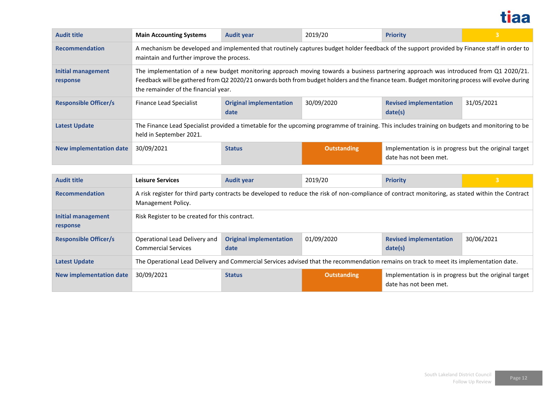

| <b>Audit title</b>             | <b>Main Accounting Systems</b>                                                                                                                                                                                                                                                                                                | <b>Audit year</b>                                                                                                                               | 2019/20            | <b>Priority</b>                                                                 |            |  |  |
|--------------------------------|-------------------------------------------------------------------------------------------------------------------------------------------------------------------------------------------------------------------------------------------------------------------------------------------------------------------------------|-------------------------------------------------------------------------------------------------------------------------------------------------|--------------------|---------------------------------------------------------------------------------|------------|--|--|
| <b>Recommendation</b>          | A mechanism be developed and implemented that routinely captures budget holder feedback of the support provided by Finance staff in order to<br>maintain and further improve the process.                                                                                                                                     |                                                                                                                                                 |                    |                                                                                 |            |  |  |
| Initial management<br>response | The implementation of a new budget monitoring approach moving towards a business partnering approach was introduced from Q1 2020/21.<br>Feedback will be gathered from Q2 2020/21 onwards both from budget holders and the finance team. Budget monitoring process will evolve during<br>the remainder of the financial year. |                                                                                                                                                 |                    |                                                                                 |            |  |  |
| <b>Responsible Officer/s</b>   | <b>Finance Lead Specialist</b>                                                                                                                                                                                                                                                                                                | <b>Original implementation</b><br>date                                                                                                          | 30/09/2020         | <b>Revised implementation</b><br>date(s)                                        | 31/05/2021 |  |  |
| <b>Latest Update</b>           | held in September 2021.                                                                                                                                                                                                                                                                                                       | The Finance Lead Specialist provided a timetable for the upcoming programme of training. This includes training on budgets and monitoring to be |                    |                                                                                 |            |  |  |
| <b>New implementation date</b> | 30/09/2021                                                                                                                                                                                                                                                                                                                    | <b>Status</b>                                                                                                                                   | <b>Outstanding</b> | Implementation is in progress but the original target<br>date has not been met. |            |  |  |

| <b>Audit title</b>             | <b>Leisure Services</b>                                                                                                                                                 | <b>Audit year</b>                      | 2019/20            | <b>Priority</b>                                                                 | 3          |  |
|--------------------------------|-------------------------------------------------------------------------------------------------------------------------------------------------------------------------|----------------------------------------|--------------------|---------------------------------------------------------------------------------|------------|--|
| <b>Recommendation</b>          | A risk register for third party contracts be developed to reduce the risk of non-compliance of contract monitoring, as stated within the Contract<br>Management Policy. |                                        |                    |                                                                                 |            |  |
| Initial management<br>response | Risk Register to be created for this contract.                                                                                                                          |                                        |                    |                                                                                 |            |  |
| <b>Responsible Officer/s</b>   | Operational Lead Delivery and<br><b>Commercial Services</b>                                                                                                             | <b>Original implementation</b><br>date | 01/09/2020         | <b>Revised implementation</b><br>date(s)                                        | 30/06/2021 |  |
| <b>Latest Update</b>           | The Operational Lead Delivery and Commercial Services advised that the recommendation remains on track to meet its implementation date.                                 |                                        |                    |                                                                                 |            |  |
| <b>New implementation date</b> | 30/09/2021                                                                                                                                                              | <b>Status</b>                          | <b>Outstanding</b> | Implementation is in progress but the original target<br>date has not been met. |            |  |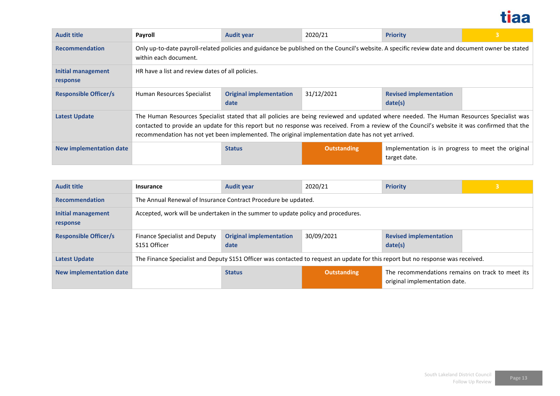

| <b>Audit title</b>             | Payroll                                                                                                                                                                   | <b>Audit year</b>                                                                                                                                                                                                                                                                                                                                                                              | 2020/21            | <b>Priority</b>                                                    | 3 |  |
|--------------------------------|---------------------------------------------------------------------------------------------------------------------------------------------------------------------------|------------------------------------------------------------------------------------------------------------------------------------------------------------------------------------------------------------------------------------------------------------------------------------------------------------------------------------------------------------------------------------------------|--------------------|--------------------------------------------------------------------|---|--|
| <b>Recommendation</b>          | Only up-to-date payroll-related policies and guidance be published on the Council's website. A specific review date and document owner be stated<br>within each document. |                                                                                                                                                                                                                                                                                                                                                                                                |                    |                                                                    |   |  |
| Initial management<br>response | HR have a list and review dates of all policies.                                                                                                                          |                                                                                                                                                                                                                                                                                                                                                                                                |                    |                                                                    |   |  |
| <b>Responsible Officer/s</b>   | Human Resources Specialist                                                                                                                                                | <b>Original implementation</b><br>date                                                                                                                                                                                                                                                                                                                                                         | 31/12/2021         | <b>Revised implementation</b><br>date(s)                           |   |  |
| <b>Latest Update</b>           |                                                                                                                                                                           | The Human Resources Specialist stated that all policies are being reviewed and updated where needed. The Human Resources Specialist was<br>contacted to provide an update for this report but no response was received. From a review of the Council's website it was confirmed that the<br>recommendation has not yet been implemented. The original implementation date has not yet arrived. |                    |                                                                    |   |  |
| New implementation date        |                                                                                                                                                                           | <b>Status</b>                                                                                                                                                                                                                                                                                                                                                                                  | <b>Outstanding</b> | Implementation is in progress to meet the original<br>target date. |   |  |

| <b>Audit title</b>             | Insurance                                                                                                                       | <b>Audit year</b>                                                                | 2020/21            | <b>Priority</b>                                                                   | 3 |  |
|--------------------------------|---------------------------------------------------------------------------------------------------------------------------------|----------------------------------------------------------------------------------|--------------------|-----------------------------------------------------------------------------------|---|--|
| <b>Recommendation</b>          | The Annual Renewal of Insurance Contract Procedure be updated.                                                                  |                                                                                  |                    |                                                                                   |   |  |
| Initial management<br>response |                                                                                                                                 | Accepted, work will be undertaken in the summer to update policy and procedures. |                    |                                                                                   |   |  |
| <b>Responsible Officer/s</b>   | Finance Specialist and Deputy<br>S151 Officer                                                                                   | <b>Original implementation</b><br>date                                           | 30/09/2021         | <b>Revised implementation</b><br>date(s)                                          |   |  |
| <b>Latest Update</b>           | The Finance Specialist and Deputy S151 Officer was contacted to request an update for this report but no response was received. |                                                                                  |                    |                                                                                   |   |  |
| <b>New implementation date</b> |                                                                                                                                 | <b>Status</b>                                                                    | <b>Outstanding</b> | The recommendations remains on track to meet its<br>original implementation date. |   |  |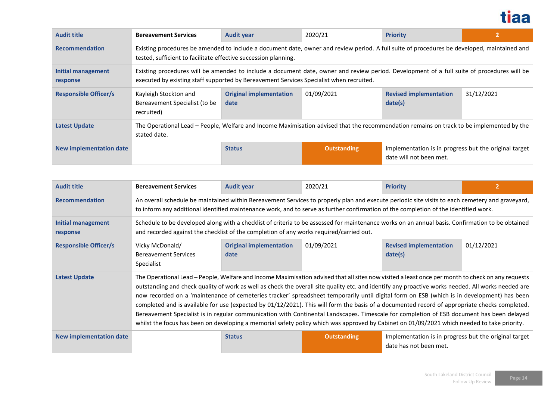

| <b>Audit title</b>             | <b>Bereavement Services</b>                                                                                                                                                                                    | <b>Audit year</b>                                                                                                                                                                                                                     | 2020/21     | <b>Priority</b>                                                                  |            |  |  |
|--------------------------------|----------------------------------------------------------------------------------------------------------------------------------------------------------------------------------------------------------------|---------------------------------------------------------------------------------------------------------------------------------------------------------------------------------------------------------------------------------------|-------------|----------------------------------------------------------------------------------|------------|--|--|
| <b>Recommendation</b>          | Existing procedures be amended to include a document date, owner and review period. A full suite of procedures be developed, maintained and<br>tested, sufficient to facilitate effective succession planning. |                                                                                                                                                                                                                                       |             |                                                                                  |            |  |  |
| Initial management<br>response |                                                                                                                                                                                                                | Existing procedures will be amended to include a document date, owner and review period. Development of a full suite of procedures will be<br>executed by existing staff supported by Bereavement Services Specialist when recruited. |             |                                                                                  |            |  |  |
| <b>Responsible Officer/s</b>   | Kayleigh Stockton and<br>Bereavement Specialist (to be<br>recruited)                                                                                                                                           | <b>Original implementation</b><br>date                                                                                                                                                                                                | 01/09/2021  | <b>Revised implementation</b><br>date(s)                                         | 31/12/2021 |  |  |
| <b>Latest Update</b>           | stated date.                                                                                                                                                                                                   | The Operational Lead – People, Welfare and Income Maximisation advised that the recommendation remains on track to be implemented by the                                                                                              |             |                                                                                  |            |  |  |
| New implementation date        |                                                                                                                                                                                                                | <b>Status</b>                                                                                                                                                                                                                         | Outstanding | Implementation is in progress but the original target<br>date will not been met. |            |  |  |

| <b>Audit title</b>             | <b>Bereavement Services</b>                                                                                                                                                                                                                                                                                                                                                                                                                                                                                                                                                                                                                                                                                                                                                                                                                                                                        | <b>Audit year</b>                      | 2020/21            | <b>Priority</b>                                                                 |            |  |
|--------------------------------|----------------------------------------------------------------------------------------------------------------------------------------------------------------------------------------------------------------------------------------------------------------------------------------------------------------------------------------------------------------------------------------------------------------------------------------------------------------------------------------------------------------------------------------------------------------------------------------------------------------------------------------------------------------------------------------------------------------------------------------------------------------------------------------------------------------------------------------------------------------------------------------------------|----------------------------------------|--------------------|---------------------------------------------------------------------------------|------------|--|
| <b>Recommendation</b>          | An overall schedule be maintained within Bereavement Services to properly plan and execute periodic site visits to each cemetery and graveyard,<br>to inform any additional identified maintenance work, and to serve as further confirmation of the completion of the identified work.                                                                                                                                                                                                                                                                                                                                                                                                                                                                                                                                                                                                            |                                        |                    |                                                                                 |            |  |
| Initial management<br>response | Schedule to be developed along with a checklist of criteria to be assessed for maintenance works on an annual basis. Confirmation to be obtained<br>and recorded against the checklist of the completion of any works required/carried out.                                                                                                                                                                                                                                                                                                                                                                                                                                                                                                                                                                                                                                                        |                                        |                    |                                                                                 |            |  |
| <b>Responsible Officer/s</b>   | Vicky McDonald/<br><b>Bereavement Services</b><br>Specialist                                                                                                                                                                                                                                                                                                                                                                                                                                                                                                                                                                                                                                                                                                                                                                                                                                       | <b>Original implementation</b><br>date | 01/09/2021         | <b>Revised implementation</b><br>date(s)                                        | 01/12/2021 |  |
| <b>Latest Update</b>           | The Operational Lead - People, Welfare and Income Maximisation advised that all sites now visited a least once per month to check on any requests<br>outstanding and check quality of work as well as check the overall site quality etc. and identify any proactive works needed. All works needed are<br>now recorded on a 'maintenance of cemeteries tracker' spreadsheet temporarily until digital form on ESB (which is in development) has been<br>completed and is available for use (expected by 01/12/2021). This will form the basis of a documented record of appropriate checks completed.<br>Bereavement Specialist is in regular communication with Continental Landscapes. Timescale for completion of ESB document has been delayed<br>whilst the focus has been on developing a memorial safety policy which was approved by Cabinet on 01/09/2021 which needed to take priority. |                                        |                    |                                                                                 |            |  |
| <b>New implementation date</b> |                                                                                                                                                                                                                                                                                                                                                                                                                                                                                                                                                                                                                                                                                                                                                                                                                                                                                                    | <b>Status</b>                          | <b>Outstanding</b> | Implementation is in progress but the original target<br>date has not been met. |            |  |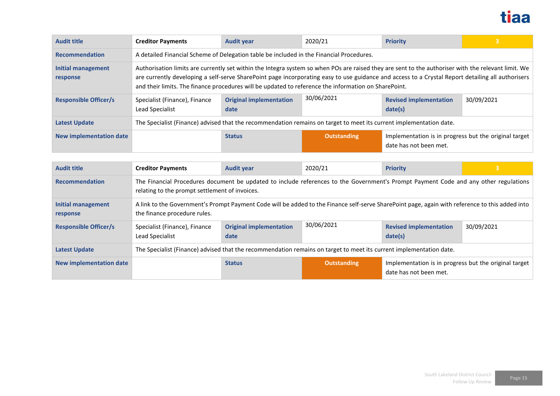

| <b>Audit title</b>             | <b>Creditor Payments</b>                                                                                                                                                                                                                                                                                                                                                                                         | <b>Audit year</b>                                                                        | 2020/21            | <b>Priority</b>                                                                 | $\mathbf{3}$   |  |  |  |
|--------------------------------|------------------------------------------------------------------------------------------------------------------------------------------------------------------------------------------------------------------------------------------------------------------------------------------------------------------------------------------------------------------------------------------------------------------|------------------------------------------------------------------------------------------|--------------------|---------------------------------------------------------------------------------|----------------|--|--|--|
| <b>Recommendation</b>          |                                                                                                                                                                                                                                                                                                                                                                                                                  | A detailed Financial Scheme of Delegation table be included in the Financial Procedures. |                    |                                                                                 |                |  |  |  |
| Initial management<br>response | Authorisation limits are currently set within the Integra system so when POs are raised they are sent to the authoriser with the relevant limit. We<br>are currently developing a self-serve SharePoint page incorporating easy to use guidance and access to a Crystal Report detailing all authorisers<br>and their limits. The finance procedures will be updated to reference the information on SharePoint. |                                                                                          |                    |                                                                                 |                |  |  |  |
| <b>Responsible Officer/s</b>   | Specialist (Finance), Finance<br>Lead Specialist                                                                                                                                                                                                                                                                                                                                                                 | <b>Original implementation</b><br>date                                                   | 30/06/2021         | <b>Revised implementation</b><br>date(s)                                        | 30/09/2021     |  |  |  |
| <b>Latest Update</b>           | The Specialist (Finance) advised that the recommendation remains on target to meet its current implementation date.                                                                                                                                                                                                                                                                                              |                                                                                          |                    |                                                                                 |                |  |  |  |
| <b>New implementation date</b> |                                                                                                                                                                                                                                                                                                                                                                                                                  | <b>Status</b>                                                                            | <b>Outstanding</b> | Implementation is in progress but the original target<br>date has not been met. |                |  |  |  |
|                                |                                                                                                                                                                                                                                                                                                                                                                                                                  |                                                                                          |                    |                                                                                 |                |  |  |  |
| <b>Audit title</b>             | <b>Creditor Payments</b>                                                                                                                                                                                                                                                                                                                                                                                         | <b>Audit year</b>                                                                        | 2020/21            | <b>Priority</b>                                                                 | $\overline{3}$ |  |  |  |
| <b>Recommendation</b>          | The Financial Procedures document be updated to include references to the Government's Prompt Payment Code and any other regulations<br>relating to the prompt settlement of invoices.                                                                                                                                                                                                                           |                                                                                          |                    |                                                                                 |                |  |  |  |

| <b>Initial management</b><br>response | A link to the Government's Prompt Payment Code will be added to the Finance self-serve SharePoint page, again with reference to this added into<br>the finance procedure rules. |                                                                                                                     |                    |                                                                                 |            |  |
|---------------------------------------|---------------------------------------------------------------------------------------------------------------------------------------------------------------------------------|---------------------------------------------------------------------------------------------------------------------|--------------------|---------------------------------------------------------------------------------|------------|--|
| <b>Responsible Officer/s</b>          | Specialist (Finance), Finance<br>Lead Specialist                                                                                                                                | <b>Original implementation</b><br>date                                                                              | 30/06/2021         | <b>Revised implementation</b><br>date(s)                                        | 30/09/2021 |  |
| <b>Latest Update</b>                  |                                                                                                                                                                                 | The Specialist (Finance) advised that the recommendation remains on target to meet its current implementation date. |                    |                                                                                 |            |  |
| <b>New implementation date</b>        |                                                                                                                                                                                 | <b>Status</b>                                                                                                       | <b>Outstanding</b> | Implementation is in progress but the original target<br>date has not been met. |            |  |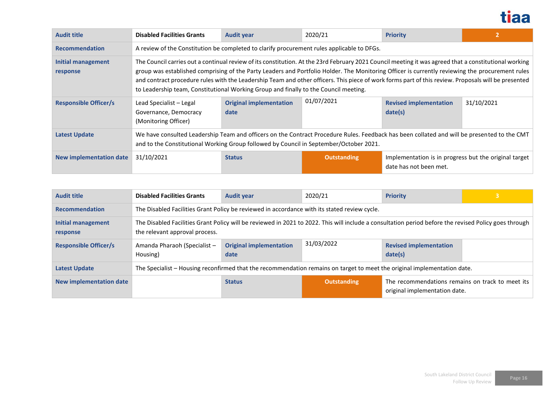

| <b>Audit title</b>             | <b>Disabled Facilities Grants</b>                                                                                                                                                                                                                                                                                                                                                                                                                                                                                                                       | <b>Audit year</b>                                                                                                                                                                                                                     | 2020/21            | <b>Priority</b>                                                                 |            |  |  |
|--------------------------------|---------------------------------------------------------------------------------------------------------------------------------------------------------------------------------------------------------------------------------------------------------------------------------------------------------------------------------------------------------------------------------------------------------------------------------------------------------------------------------------------------------------------------------------------------------|---------------------------------------------------------------------------------------------------------------------------------------------------------------------------------------------------------------------------------------|--------------------|---------------------------------------------------------------------------------|------------|--|--|
| <b>Recommendation</b>          | A review of the Constitution be completed to clarify procurement rules applicable to DFGs.                                                                                                                                                                                                                                                                                                                                                                                                                                                              |                                                                                                                                                                                                                                       |                    |                                                                                 |            |  |  |
| Initial management<br>response | The Council carries out a continual review of its constitution. At the 23rd February 2021 Council meeting it was agreed that a constitutional working<br>group was established comprising of the Party Leaders and Portfolio Holder. The Monitoring Officer is currently reviewing the procurement rules<br>and contract procedure rules with the Leadership Team and other officers. This piece of work forms part of this review. Proposals will be presented<br>to Leadership team, Constitutional Working Group and finally to the Council meeting. |                                                                                                                                                                                                                                       |                    |                                                                                 |            |  |  |
| <b>Responsible Officer/s</b>   | Lead Specialist - Legal<br>Governance, Democracy<br>(Monitoring Officer)                                                                                                                                                                                                                                                                                                                                                                                                                                                                                | <b>Original implementation</b><br>date                                                                                                                                                                                                | 01/07/2021         | <b>Revised implementation</b><br>date(s)                                        | 31/10/2021 |  |  |
| <b>Latest Update</b>           |                                                                                                                                                                                                                                                                                                                                                                                                                                                                                                                                                         | We have consulted Leadership Team and officers on the Contract Procedure Rules. Feedback has been collated and will be presented to the CMT<br>and to the Constitutional Working Group followed by Council in September/October 2021. |                    |                                                                                 |            |  |  |
| New implementation date        | 31/10/2021                                                                                                                                                                                                                                                                                                                                                                                                                                                                                                                                              | <b>Status</b>                                                                                                                                                                                                                         | <b>Outstanding</b> | Implementation is in progress but the original target<br>date has not been met. |            |  |  |

| <b>Audit title</b>             | <b>Disabled Facilities Grants</b>                                                                                                                                                       | <b>Audit year</b>                                                                                                        | 2020/21            | <b>Priority</b>                                                                   |  |  |  |
|--------------------------------|-----------------------------------------------------------------------------------------------------------------------------------------------------------------------------------------|--------------------------------------------------------------------------------------------------------------------------|--------------------|-----------------------------------------------------------------------------------|--|--|--|
| <b>Recommendation</b>          | The Disabled Facilities Grant Policy be reviewed in accordance with its stated review cycle.                                                                                            |                                                                                                                          |                    |                                                                                   |  |  |  |
| Initial management<br>response | The Disabled Facilities Grant Policy will be reviewed in 2021 to 2022. This will include a consultation period before the revised Policy goes through<br>the relevant approval process. |                                                                                                                          |                    |                                                                                   |  |  |  |
| <b>Responsible Officer/s</b>   | Amanda Pharaoh (Specialist -<br>Housing)                                                                                                                                                | <b>Original implementation</b><br>date                                                                                   | 31/03/2022         | <b>Revised implementation</b><br>date(s)                                          |  |  |  |
| <b>Latest Update</b>           |                                                                                                                                                                                         | The Specialist - Housing reconfirmed that the recommendation remains on target to meet the original implementation date. |                    |                                                                                   |  |  |  |
| New implementation date        |                                                                                                                                                                                         | <b>Status</b>                                                                                                            | <b>Outstanding</b> | The recommendations remains on track to meet its<br>original implementation date. |  |  |  |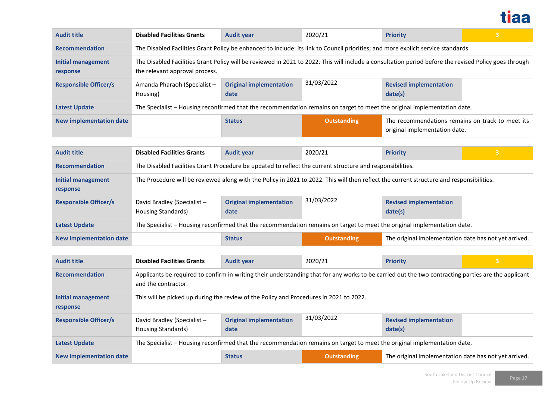

| <b>Audit title</b>                    | <b>Disabled Facilities Grants</b>                                                                                                                                                       | <b>Audit year</b>                      | 2020/21            | <b>Priority</b>                                                                   | $\overline{3}$ |  |  |
|---------------------------------------|-----------------------------------------------------------------------------------------------------------------------------------------------------------------------------------------|----------------------------------------|--------------------|-----------------------------------------------------------------------------------|----------------|--|--|
| <b>Recommendation</b>                 | The Disabled Facilities Grant Policy be enhanced to include: its link to Council priorities; and more explicit service standards.                                                       |                                        |                    |                                                                                   |                |  |  |
| <b>Initial management</b><br>response | The Disabled Facilities Grant Policy will be reviewed in 2021 to 2022. This will include a consultation period before the revised Policy goes through<br>the relevant approval process. |                                        |                    |                                                                                   |                |  |  |
| <b>Responsible Officer/s</b>          | Amanda Pharaoh (Specialist -<br>Housing)                                                                                                                                                | <b>Original implementation</b><br>date | 31/03/2022         | <b>Revised implementation</b><br>date(s)                                          |                |  |  |
| <b>Latest Update</b>                  | The Specialist - Housing reconfirmed that the recommendation remains on target to meet the original implementation date.                                                                |                                        |                    |                                                                                   |                |  |  |
| <b>New implementation date</b>        |                                                                                                                                                                                         | <b>Status</b>                          | <b>Outstanding</b> | The recommendations remains on track to meet its<br>original implementation date. |                |  |  |

| <b>Audit title</b>             | <b>Disabled Facilities Grants</b>                                                                                                        | <b>Audit year</b>                                                                                                        | 2020/21            | <b>Priority</b>                                       | 3 |  |  |
|--------------------------------|------------------------------------------------------------------------------------------------------------------------------------------|--------------------------------------------------------------------------------------------------------------------------|--------------------|-------------------------------------------------------|---|--|--|
| <b>Recommendation</b>          | The Disabled Facilities Grant Procedure be updated to reflect the current structure and responsibilities.                                |                                                                                                                          |                    |                                                       |   |  |  |
| Initial management<br>response | The Procedure will be reviewed along with the Policy in 2021 to 2022. This will then reflect the current structure and responsibilities. |                                                                                                                          |                    |                                                       |   |  |  |
| <b>Responsible Officer/s</b>   | David Bradley (Specialist -<br><b>Housing Standards)</b>                                                                                 | <b>Original implementation</b><br>date                                                                                   | 31/03/2022         | <b>Revised implementation</b><br>date(s)              |   |  |  |
| <b>Latest Update</b>           |                                                                                                                                          | The Specialist - Housing reconfirmed that the recommendation remains on target to meet the original implementation date. |                    |                                                       |   |  |  |
| <b>New implementation date</b> |                                                                                                                                          | <b>Status</b>                                                                                                            | <b>Outstanding</b> | The original implementation date has not yet arrived. |   |  |  |

| <b>Audit title</b>                    | <b>Disabled Facilities Grants</b>                                                                                                                                          | <b>Audit year</b>                      | 2020/21            | <b>Priority</b>                                       | ا 3 ا |  |
|---------------------------------------|----------------------------------------------------------------------------------------------------------------------------------------------------------------------------|----------------------------------------|--------------------|-------------------------------------------------------|-------|--|
| <b>Recommendation</b>                 | Applicants be required to confirm in writing their understanding that for any works to be carried out the two contracting parties are the applicant<br>and the contractor. |                                        |                    |                                                       |       |  |
| <b>Initial management</b><br>response | This will be picked up during the review of the Policy and Procedures in 2021 to 2022.                                                                                     |                                        |                    |                                                       |       |  |
| <b>Responsible Officer/s</b>          | David Bradley (Specialist -<br>Housing Standards)                                                                                                                          | <b>Original implementation</b><br>date | 31/03/2022         | <b>Revised implementation</b><br>date(s)              |       |  |
| <b>Latest Update</b>                  | The Specialist - Housing reconfirmed that the recommendation remains on target to meet the original implementation date.                                                   |                                        |                    |                                                       |       |  |
| <b>New implementation date</b>        |                                                                                                                                                                            | <b>Status</b>                          | <b>Outstanding</b> | The original implementation date has not yet arrived. |       |  |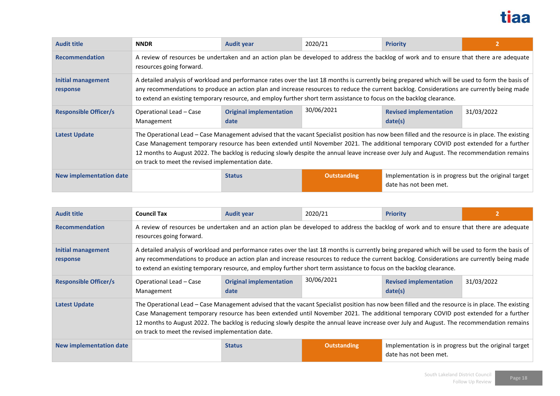

| <b>Audit title</b>             | <b>NNDR</b>                                                                                                                                                                                                                                                                                                                                                                                                                                                                                   | <b>Audit year</b>                      | 2020/21            | <b>Priority</b>                                                                 |            |  |  |
|--------------------------------|-----------------------------------------------------------------------------------------------------------------------------------------------------------------------------------------------------------------------------------------------------------------------------------------------------------------------------------------------------------------------------------------------------------------------------------------------------------------------------------------------|----------------------------------------|--------------------|---------------------------------------------------------------------------------|------------|--|--|
| <b>Recommendation</b>          | A review of resources be undertaken and an action plan be developed to address the backlog of work and to ensure that there are adequate<br>resources going forward.                                                                                                                                                                                                                                                                                                                          |                                        |                    |                                                                                 |            |  |  |
| Initial management<br>response | A detailed analysis of workload and performance rates over the last 18 months is currently being prepared which will be used to form the basis of<br>any recommendations to produce an action plan and increase resources to reduce the current backlog. Considerations are currently being made<br>to extend an existing temporary resource, and employ further short term assistance to focus on the backlog clearance.                                                                     |                                        |                    |                                                                                 |            |  |  |
| <b>Responsible Officer/s</b>   | Operational Lead - Case<br>Management                                                                                                                                                                                                                                                                                                                                                                                                                                                         | <b>Original implementation</b><br>date | 30/06/2021         | <b>Revised implementation</b><br>date(s)                                        | 31/03/2022 |  |  |
| <b>Latest Update</b>           | The Operational Lead - Case Management advised that the vacant Specialist position has now been filled and the resource is in place. The existing<br>Case Management temporary resource has been extended until November 2021. The additional temporary COVID post extended for a further<br>12 months to August 2022. The backlog is reducing slowly despite the annual leave increase over July and August. The recommendation remains<br>on track to meet the revised implementation date. |                                        |                    |                                                                                 |            |  |  |
| New implementation date        |                                                                                                                                                                                                                                                                                                                                                                                                                                                                                               | <b>Status</b>                          | <b>Outstanding</b> | Implementation is in progress but the original target<br>date has not been met. |            |  |  |

| <b>Audit title</b>             | <b>Council Tax</b>                                                                                                                                                                                                                                                                                                                                                                                                        | <b>Audit year</b>                                                                                                                                                                                                                                                                                                                                                                                                                                                                             | 2020/21            | <b>Priority</b>                                                                 |            |  |  |
|--------------------------------|---------------------------------------------------------------------------------------------------------------------------------------------------------------------------------------------------------------------------------------------------------------------------------------------------------------------------------------------------------------------------------------------------------------------------|-----------------------------------------------------------------------------------------------------------------------------------------------------------------------------------------------------------------------------------------------------------------------------------------------------------------------------------------------------------------------------------------------------------------------------------------------------------------------------------------------|--------------------|---------------------------------------------------------------------------------|------------|--|--|
| <b>Recommendation</b>          | resources going forward.                                                                                                                                                                                                                                                                                                                                                                                                  | A review of resources be undertaken and an action plan be developed to address the backlog of work and to ensure that there are adequate                                                                                                                                                                                                                                                                                                                                                      |                    |                                                                                 |            |  |  |
| Initial management<br>response | A detailed analysis of workload and performance rates over the last 18 months is currently being prepared which will be used to form the basis of<br>any recommendations to produce an action plan and increase resources to reduce the current backlog. Considerations are currently being made<br>to extend an existing temporary resource, and employ further short term assistance to focus on the backlog clearance. |                                                                                                                                                                                                                                                                                                                                                                                                                                                                                               |                    |                                                                                 |            |  |  |
| <b>Responsible Officer/s</b>   | Operational Lead - Case<br>Management                                                                                                                                                                                                                                                                                                                                                                                     | <b>Original implementation</b><br>date                                                                                                                                                                                                                                                                                                                                                                                                                                                        | 30/06/2021         | <b>Revised implementation</b><br>date(s)                                        | 31/03/2022 |  |  |
| <b>Latest Update</b>           |                                                                                                                                                                                                                                                                                                                                                                                                                           | The Operational Lead - Case Management advised that the vacant Specialist position has now been filled and the resource is in place. The existing<br>Case Management temporary resource has been extended until November 2021. The additional temporary COVID post extended for a further<br>12 months to August 2022. The backlog is reducing slowly despite the annual leave increase over July and August. The recommendation remains<br>on track to meet the revised implementation date. |                    |                                                                                 |            |  |  |
| New implementation date        |                                                                                                                                                                                                                                                                                                                                                                                                                           | <b>Status</b>                                                                                                                                                                                                                                                                                                                                                                                                                                                                                 | <b>Outstanding</b> | Implementation is in progress but the original target<br>date has not been met. |            |  |  |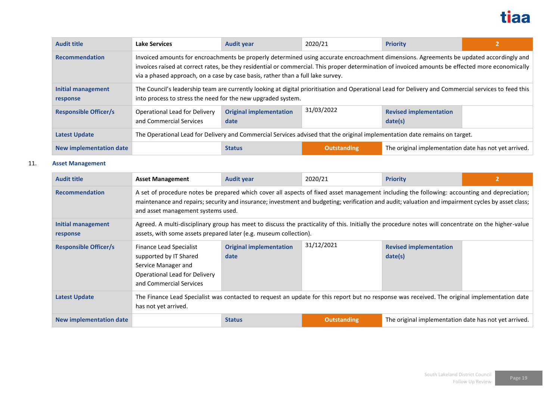

| <b>Audit title</b>             | <b>Lake Services</b>                                                                                                       | <b>Audit year</b>                                                                                                                                                                                                                                                                                                                                                              | 2020/21            | <b>Priority</b>                                       |  |  |  |
|--------------------------------|----------------------------------------------------------------------------------------------------------------------------|--------------------------------------------------------------------------------------------------------------------------------------------------------------------------------------------------------------------------------------------------------------------------------------------------------------------------------------------------------------------------------|--------------------|-------------------------------------------------------|--|--|--|
| <b>Recommendation</b>          |                                                                                                                            | Invoiced amounts for encroachments be properly determined using accurate encroachment dimensions. Agreements be updated accordingly and<br>invoices raised at correct rates, be they residential or commercial. This proper determination of invoiced amounts be effected more economically<br>via a phased approach, on a case by case basis, rather than a full lake survey. |                    |                                                       |  |  |  |
| Initial management<br>response |                                                                                                                            | The Council's leadership team are currently looking at digital prioritisation and Operational Lead for Delivery and Commercial services to feed this<br>into process to stress the need for the new upgraded system.                                                                                                                                                           |                    |                                                       |  |  |  |
| <b>Responsible Officer/s</b>   | Operational Lead for Delivery<br>and Commercial Services                                                                   | <b>Original implementation</b><br>date                                                                                                                                                                                                                                                                                                                                         | 31/03/2022         | <b>Revised implementation</b><br>date(s)              |  |  |  |
| <b>Latest Update</b>           | The Operational Lead for Delivery and Commercial Services advised that the original implementation date remains on target. |                                                                                                                                                                                                                                                                                                                                                                                |                    |                                                       |  |  |  |
| New implementation date        |                                                                                                                            | <b>Status</b>                                                                                                                                                                                                                                                                                                                                                                  | <b>Outstanding</b> | The original implementation date has not yet arrived. |  |  |  |

### 11. **Asset Management**

| <b>Audit title</b>             | <b>Asset Management</b>                                                                                                                                                                                                                                                                                                                  | <b>Audit year</b>                                                                                                                                                                                                        | 2020/21            | <b>Priority</b>                                       |  |  |  |
|--------------------------------|------------------------------------------------------------------------------------------------------------------------------------------------------------------------------------------------------------------------------------------------------------------------------------------------------------------------------------------|--------------------------------------------------------------------------------------------------------------------------------------------------------------------------------------------------------------------------|--------------------|-------------------------------------------------------|--|--|--|
| <b>Recommendation</b>          | A set of procedure notes be prepared which cover all aspects of fixed asset management including the following: accounting and depreciation;<br>maintenance and repairs; security and insurance; investment and budgeting; verification and audit; valuation and impairment cycles by asset class;<br>and asset management systems used. |                                                                                                                                                                                                                          |                    |                                                       |  |  |  |
| Initial management<br>response |                                                                                                                                                                                                                                                                                                                                          | Agreed. A multi-disciplinary group has meet to discuss the practicality of this. Initially the procedure notes will concentrate on the higher-value<br>assets, with some assets prepared later (e.g. museum collection). |                    |                                                       |  |  |  |
| <b>Responsible Officer/s</b>   | Finance Lead Specialist<br>supported by IT Shared<br>Service Manager and<br>Operational Lead for Delivery<br>and Commercial Services                                                                                                                                                                                                     | <b>Original implementation</b><br>date                                                                                                                                                                                   | 31/12/2021         | <b>Revised implementation</b><br>date(s)              |  |  |  |
| <b>Latest Update</b>           | The Finance Lead Specialist was contacted to request an update for this report but no response was received. The original implementation date<br>has not yet arrived.                                                                                                                                                                    |                                                                                                                                                                                                                          |                    |                                                       |  |  |  |
| <b>New implementation date</b> |                                                                                                                                                                                                                                                                                                                                          | <b>Status</b>                                                                                                                                                                                                            | <b>Outstanding</b> | The original implementation date has not yet arrived. |  |  |  |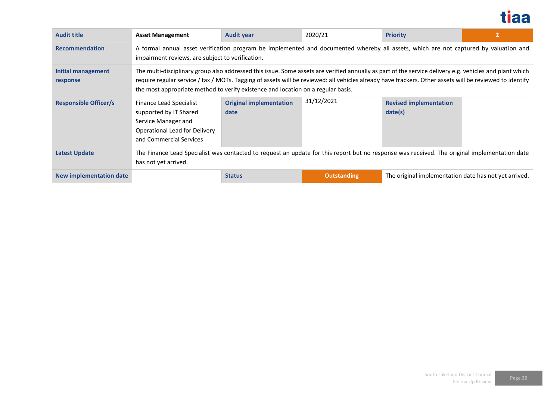

| <b>Audit title</b>                    | <b>Asset Management</b>                                                                                                                                                                                                                                                                                                                                                                                | <b>Audit year</b>                      | 2020/21            | <b>Priority</b>                                       |  |  |  |
|---------------------------------------|--------------------------------------------------------------------------------------------------------------------------------------------------------------------------------------------------------------------------------------------------------------------------------------------------------------------------------------------------------------------------------------------------------|----------------------------------------|--------------------|-------------------------------------------------------|--|--|--|
| <b>Recommendation</b>                 | A formal annual asset verification program be implemented and documented whereby all assets, which are not captured by valuation and<br>impairment reviews, are subject to verification.                                                                                                                                                                                                               |                                        |                    |                                                       |  |  |  |
| <b>Initial management</b><br>response | The multi-disciplinary group also addressed this issue. Some assets are verified annually as part of the service delivery e.g. vehicles and plant which<br>require regular service / tax / MOTs. Tagging of assets will be reviewed: all vehicles already have trackers. Other assets will be reviewed to identify<br>the most appropriate method to verify existence and location on a regular basis. |                                        |                    |                                                       |  |  |  |
| <b>Responsible Officer/s</b>          | Finance Lead Specialist<br>supported by IT Shared<br>Service Manager and<br>Operational Lead for Delivery<br>and Commercial Services                                                                                                                                                                                                                                                                   | <b>Original implementation</b><br>date | 31/12/2021         | <b>Revised implementation</b><br>date(s)              |  |  |  |
| <b>Latest Update</b>                  | The Finance Lead Specialist was contacted to request an update for this report but no response was received. The original implementation date<br>has not yet arrived.                                                                                                                                                                                                                                  |                                        |                    |                                                       |  |  |  |
| New implementation date               |                                                                                                                                                                                                                                                                                                                                                                                                        | <b>Status</b>                          | <b>Outstanding</b> | The original implementation date has not yet arrived. |  |  |  |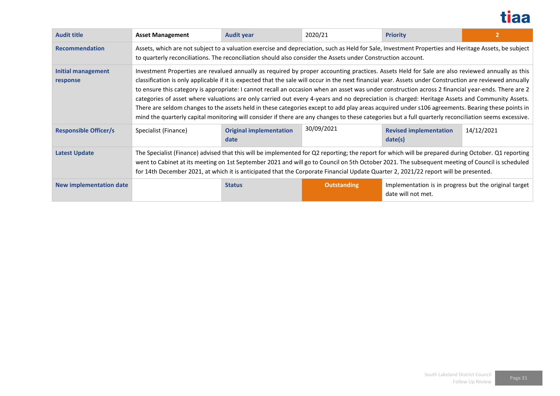

| <b>Audit title</b>             | <b>Asset Management</b>                                                                                                                                                                                                                                                                                                                                                                                                                                                                                                                                                                                                                                                                                                                                                                                                                                                                                                         | <b>Audit year</b>                      | 2020/21            | <b>Priority</b>                                                             |            |  |  |
|--------------------------------|---------------------------------------------------------------------------------------------------------------------------------------------------------------------------------------------------------------------------------------------------------------------------------------------------------------------------------------------------------------------------------------------------------------------------------------------------------------------------------------------------------------------------------------------------------------------------------------------------------------------------------------------------------------------------------------------------------------------------------------------------------------------------------------------------------------------------------------------------------------------------------------------------------------------------------|----------------------------------------|--------------------|-----------------------------------------------------------------------------|------------|--|--|
| <b>Recommendation</b>          | Assets, which are not subject to a valuation exercise and depreciation, such as Held for Sale, Investment Properties and Heritage Assets, be subject<br>to quarterly reconciliations. The reconciliation should also consider the Assets under Construction account.                                                                                                                                                                                                                                                                                                                                                                                                                                                                                                                                                                                                                                                            |                                        |                    |                                                                             |            |  |  |
| Initial management<br>response | Investment Properties are revalued annually as required by proper accounting practices. Assets Held for Sale are also reviewed annually as this<br>classification is only applicable if it is expected that the sale will occur in the next financial year. Assets under Construction are reviewed annually<br>to ensure this category is appropriate: I cannot recall an occasion when an asset was under construction across 2 financial year-ends. There are 2<br>categories of asset where valuations are only carried out every 4-years and no depreciation is charged: Heritage Assets and Community Assets.<br>There are seldom changes to the assets held in these categories except to add play areas acquired under s106 agreements. Bearing these points in<br>mind the quarterly capital monitoring will consider if there are any changes to these categories but a full quarterly reconciliation seems excessive. |                                        |                    |                                                                             |            |  |  |
| <b>Responsible Officer/s</b>   | Specialist (Finance)                                                                                                                                                                                                                                                                                                                                                                                                                                                                                                                                                                                                                                                                                                                                                                                                                                                                                                            | <b>Original implementation</b><br>date | 30/09/2021         | <b>Revised implementation</b><br>date(s)                                    | 14/12/2021 |  |  |
| <b>Latest Update</b>           | The Specialist (Finance) advised that this will be implemented for Q2 reporting; the report for which will be prepared during October. Q1 reporting<br>went to Cabinet at its meeting on 1st September 2021 and will go to Council on 5th October 2021. The subsequent meeting of Council is scheduled<br>for 14th December 2021, at which it is anticipated that the Corporate Financial Update Quarter 2, 2021/22 report will be presented.                                                                                                                                                                                                                                                                                                                                                                                                                                                                                   |                                        |                    |                                                                             |            |  |  |
| New implementation date        |                                                                                                                                                                                                                                                                                                                                                                                                                                                                                                                                                                                                                                                                                                                                                                                                                                                                                                                                 | <b>Status</b>                          | <b>Outstanding</b> | Implementation is in progress but the original target<br>date will not met. |            |  |  |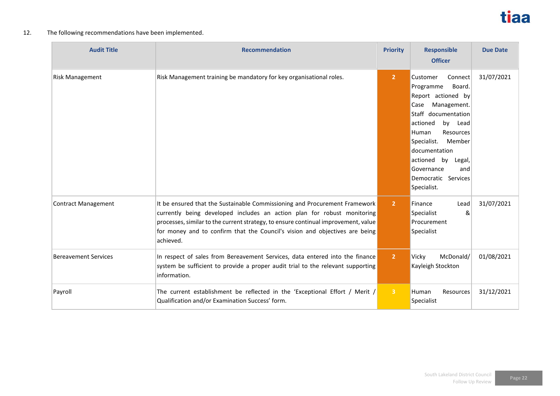

### 12. The following recommendations have been implemented.

| <b>Audit Title</b>          | <b>Recommendation</b>                                                                                                                                                                                                                                                                                                                   | <b>Priority</b> | <b>Responsible</b><br><b>Officer</b>                                                                                                                                                                                                                                                   | <b>Due Date</b> |
|-----------------------------|-----------------------------------------------------------------------------------------------------------------------------------------------------------------------------------------------------------------------------------------------------------------------------------------------------------------------------------------|-----------------|----------------------------------------------------------------------------------------------------------------------------------------------------------------------------------------------------------------------------------------------------------------------------------------|-----------------|
| <b>Risk Management</b>      | Risk Management training be mandatory for key organisational roles.                                                                                                                                                                                                                                                                     | 2 <sup>1</sup>  | Customer<br>Connect<br>Programme<br>Board.<br>Report actioned by<br>Management.<br>Case<br>Staff documentation<br>actioned<br>by Lead<br>Resources<br>Human<br>Specialist.<br>Member<br>documentation<br>actioned by Legal,<br>Governance<br>and<br>Democratic Services<br>Specialist. | 31/07/2021      |
| Contract Management         | It be ensured that the Sustainable Commissioning and Procurement Framework<br>currently being developed includes an action plan for robust monitoring<br>processes, similar to the current strategy, to ensure continual improvement, value<br>for money and to confirm that the Council's vision and objectives are being<br>achieved. | $\overline{2}$  | Finance<br>Lead<br>Specialist<br>&<br>Procurement<br>Specialist                                                                                                                                                                                                                        | 31/07/2021      |
| <b>Bereavement Services</b> | In respect of sales from Bereavement Services, data entered into the finance<br>system be sufficient to provide a proper audit trial to the relevant supporting<br>information.                                                                                                                                                         | $\overline{2}$  | Vicky<br>McDonald/<br>Kayleigh Stockton                                                                                                                                                                                                                                                | 01/08/2021      |
| Payroll                     | The current establishment be reflected in the 'Exceptional Effort / Merit /<br>Qualification and/or Examination Success' form.                                                                                                                                                                                                          | $\overline{3}$  | Human<br>Resources<br>Specialist                                                                                                                                                                                                                                                       | 31/12/2021      |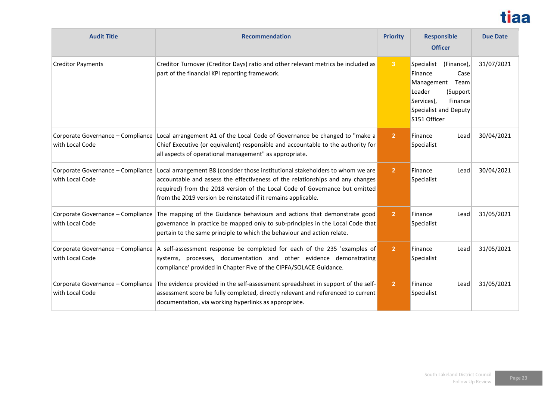# tiaa

| <b>Audit Title</b>                                   | <b>Recommendation</b>                                                                                                                                                                                                                                                                                           | <b>Priority</b> | <b>Responsible</b><br><b>Officer</b>                                                                                                                       | <b>Due Date</b> |
|------------------------------------------------------|-----------------------------------------------------------------------------------------------------------------------------------------------------------------------------------------------------------------------------------------------------------------------------------------------------------------|-----------------|------------------------------------------------------------------------------------------------------------------------------------------------------------|-----------------|
| <b>Creditor Payments</b>                             | Creditor Turnover (Creditor Days) ratio and other relevant metrics be included as<br>part of the financial KPI reporting framework.                                                                                                                                                                             | $\overline{3}$  | (Finance),<br>Specialist<br>Finance<br>Case<br>Management<br>Team<br>Leader<br>(Support)<br>Services),<br>Finance<br>Specialist and Deputy<br>S151 Officer | 31/07/2021      |
| with Local Code                                      | Corporate Governance - Compliance Local arrangement A1 of the Local Code of Governance be changed to "make a<br>Chief Executive (or equivalent) responsible and accountable to the authority for<br>all aspects of operational management" as appropriate.                                                      | $\overline{2}$  | Finance<br>Lead<br>Specialist                                                                                                                              | 30/04/2021      |
| Corporate Governance - Compliance<br>with Local Code | Local arrangement B8 (consider those institutional stakeholders to whom we are<br>accountable and assess the effectiveness of the relationships and any changes<br>required) from the 2018 version of the Local Code of Governance but omitted<br>from the 2019 version be reinstated if it remains applicable. | $\overline{2}$  | Finance<br>Lead<br>Specialist                                                                                                                              | 30/04/2021      |
| Corporate Governance - Compliance<br>with Local Code | The mapping of the Guidance behaviours and actions that demonstrate good<br>governance in practice be mapped only to sub-principles in the Local Code that<br>pertain to the same principle to which the behaviour and action relate.                                                                           | $\overline{2}$  | Finance<br>Lead<br>Specialist                                                                                                                              | 31/05/2021      |
| with Local Code                                      | Corporate Governance – Compliance   A self-assessment response be completed for each of the 235 'examples of<br>systems, processes, documentation and other evidence demonstrating<br>compliance' provided in Chapter Five of the CIPFA/SOLACE Guidance.                                                        | $\overline{2}$  | Finance<br>Lead<br>Specialist                                                                                                                              | 31/05/2021      |
| Corporate Governance - Compliance<br>with Local Code | The evidence provided in the self-assessment spreadsheet in support of the self-<br>assessment score be fully completed, directly relevant and referenced to current<br>documentation, via working hyperlinks as appropriate.                                                                                   | $\overline{2}$  | Finance<br>Lead<br>Specialist                                                                                                                              | 31/05/2021      |